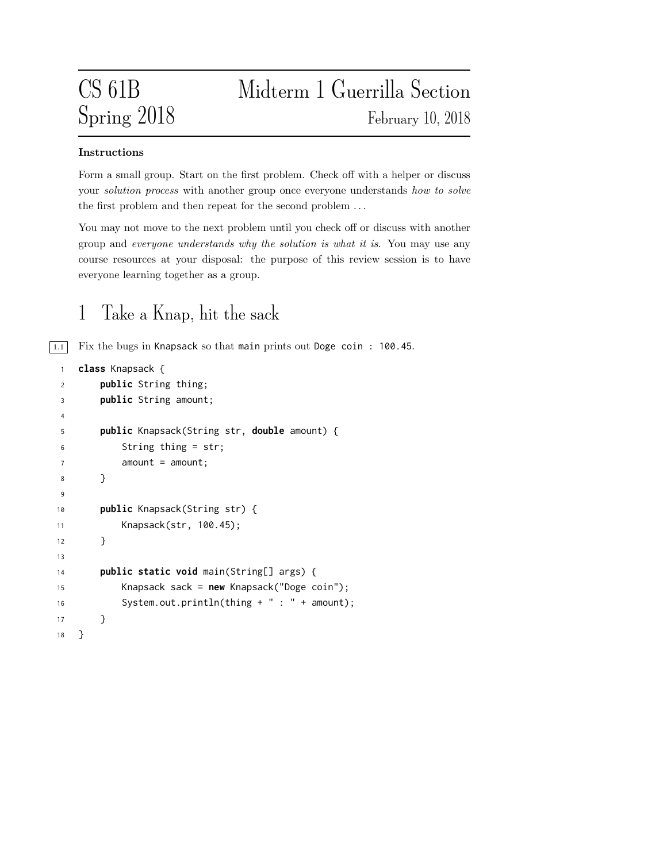# CS 61B Midterm 1 Guerrilla Section Spring 2018 February 10, 2018

### Instructions

Form a small group. Start on the first problem. Check off with a helper or discuss your *solution process* with another group once everyone understands how to solve the first problem and then repeat for the second problem . . .

You may not move to the next problem until you check off or discuss with another group and everyone understands why the solution is what it is. You may use any course resources at your disposal: the purpose of this review session is to have everyone learning together as a group.

### 1 Take a Knap, hit the sack

 $\boxed{1.1}$  Fix the bugs in Knapsack so that main prints out Doge coin: 100.45.

```
1 class Knapsack {
2 public String thing;
3 public String amount;
4
5 public Knapsack(String str, double amount) {
6 String thing = str;
7 amount = amount;
8 }
9
10 public Knapsack(String str) {
11 Knapsack(str, 100.45);
12 }
13
14 public static void main(String[] args) {
15 Knapsack sack = new Knapsack("Doge coin");
16 System.out.println(thing + " : " + amount);
17 }
18 }
```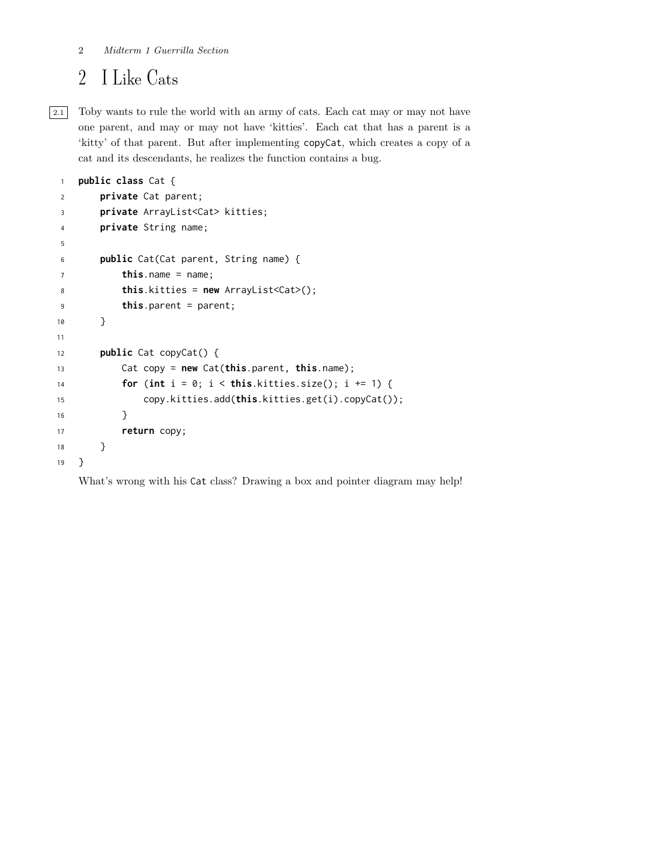## I Like Cats

2.1 Toby wants to rule the world with an army of cats. Each cat may or may not have one parent, and may or may not have 'kitties'. Each cat that has a parent is a 'kitty' of that parent. But after implementing copyCat, which creates a copy of a cat and its descendants, he realizes the function contains a bug.

```
1 public class Cat {
2 private Cat parent;
3 private ArrayList<Cat> kitties;
4 private String name;
5
6 public Cat(Cat parent, String name) {
7 this.name = name;
8 this.kitties = new ArrayList<Cat>();
9 this.parent = parent;
10 }
11
12 public Cat copyCat() {
13 Cat copy = new Cat(this.parent, this.name);
14 for (int i = 0; i < this.kitties.size(); i +1 {
15 copy.kitties.add(this.kitties.get(i).copyCat());
16 }
17 return copy;
18 }
19 }
```
What's wrong with his Cat class? Drawing a box and pointer diagram may help!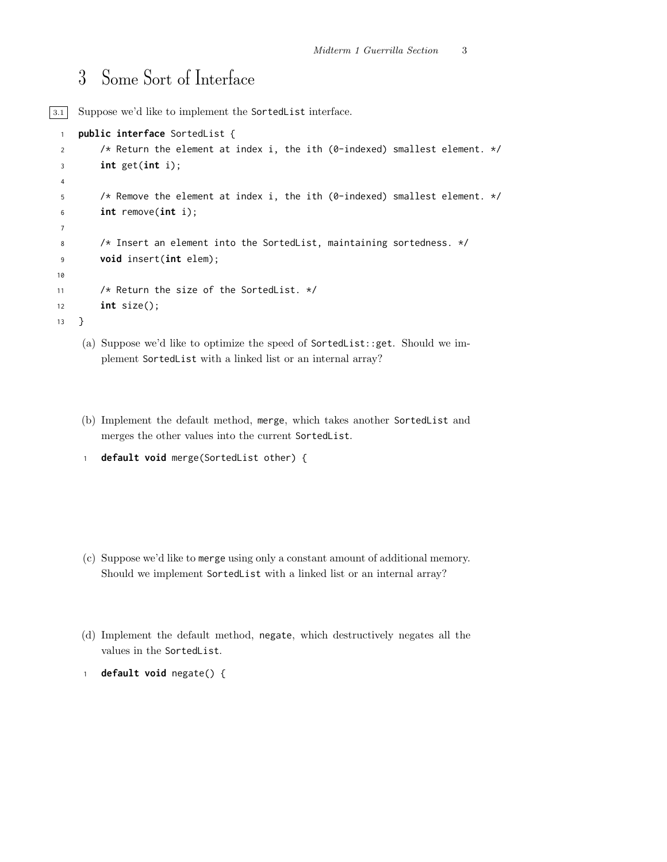### Some Sort of Interface

3.1 Suppose we'd like to implement the SortedList interface.

```
1 public interface SortedList {
2 /* Return the element at index i, the ith (0-indexed) smallest element. */
3 int get(int i);
4
5 /* Remove the element at index i, the ith (0-indexed) smallest element. */
6 int remove(int i);
7
8 /* Insert an element into the SortedList, maintaining sortedness. */
9 void insert(int elem);
10
11 /* Return the size of the SortedList. */
12 int size();
13 }
```
- (a) Suppose we'd like to optimize the speed of SortedList::get. Should we implement SortedList with a linked list or an internal array?
- (b) Implement the default method, merge, which takes another SortedList and merges the other values into the current SortedList.

```
1 default void merge(SortedList other) {
```
- (c) Suppose we'd like to merge using only a constant amount of additional memory. Should we implement SortedList with a linked list or an internal array?
- (d) Implement the default method, negate, which destructively negates all the values in the SortedList.
- default void negate() {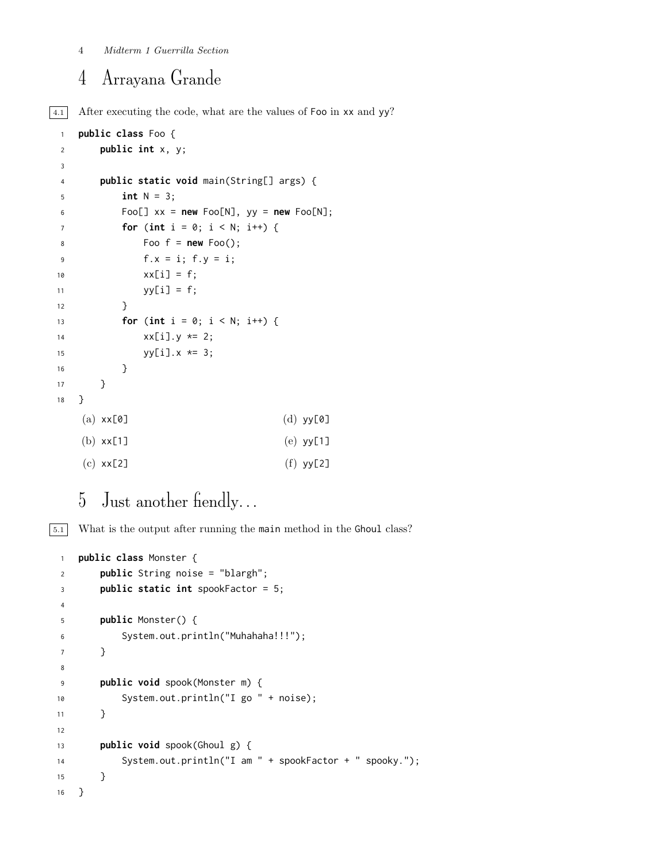#### Midterm 1 Guerrilla Section

### Arrayana Grande

4.1 After executing the code, what are the values of Foo in xx and yy?

```
1 public class Foo {
2 public int x, y;
3
4 public static void main(String[] args) {
5 int N = 3;
6 Foo[] xx = new Foo[N], yy = new Foo[N];7 for (int i = 0; i < N; i++) {
8 Foo f = new Foo();
9 f.x = i; f.y = i;10 xx[i] = f;11 yy[i] = f;12 }
13 for (int i = 0; i < N; i++) {
14 \{xx[i], y \neq 2\}15 yy[i].x \neq 3;16 }
17 }
18 }
   (a) xx[0](b) xx[1]
   (c) xx[2]
                               (d) yy[0]
                               (e) yy[1]
                               (f) yy[2]
```
### Just another fiendly. . .

5.1 What is the output after running the main method in the Ghoul class?

```
1 public class Monster {
2 public String noise = "blargh";
3 public static int spookFactor = 5;
4
5 public Monster() {
6 System.out.println("Muhahaha!!!");
7 }
8
9 public void spook(Monster m) {
10 System.out.println("I go " + noise);
11 }
12
13 public void spook(Ghoul g) {
14 System.out.println("I am " + spookFactor + " spooky.");
15 }
16 }
```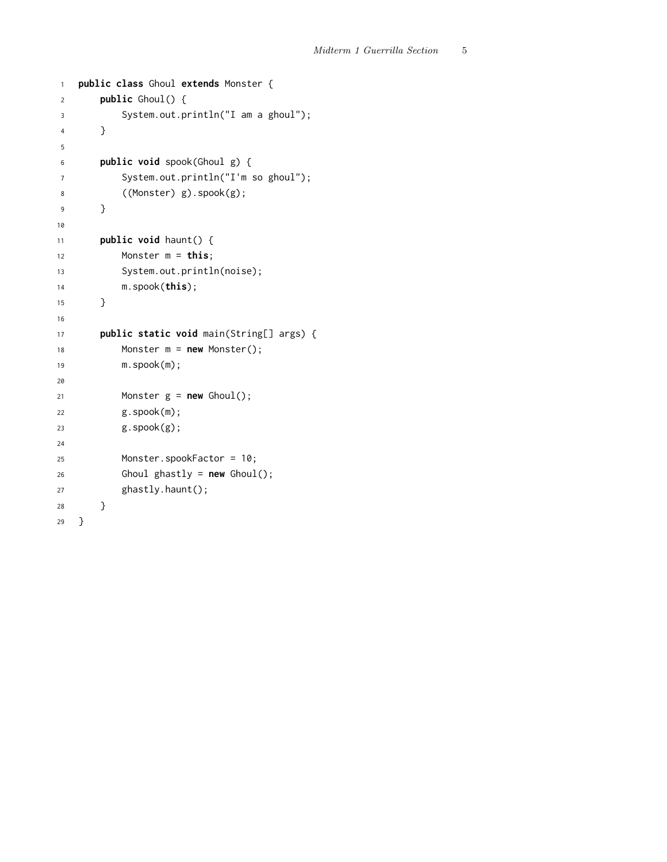```
1 public class Ghoul extends Monster {
2 public Ghoul() {
3 System.out.println("I am a ghoul");
4 }
5
6 public void spook(Ghoul g) {
7 System.out.println("I'm so ghoul");
8 ((Monster) g).spook(g);
9 }
10
11 public void haunt() {
12 Monster m = \text{this};
13 System.out.println(noise);
14 m.spook(this);
15 }
16
17 public static void main(String[] args) {
18 Monster m = new Monster();
19 m.spook(m);
20
21 Monster g = new Global();
22 g.spook(m);
23 g.spook(g);
24
25 Monster.spookFactor = 10;
26 Ghoul ghastly = new Ghoul();
27 ghastly.haunt();
28 }
29 }
```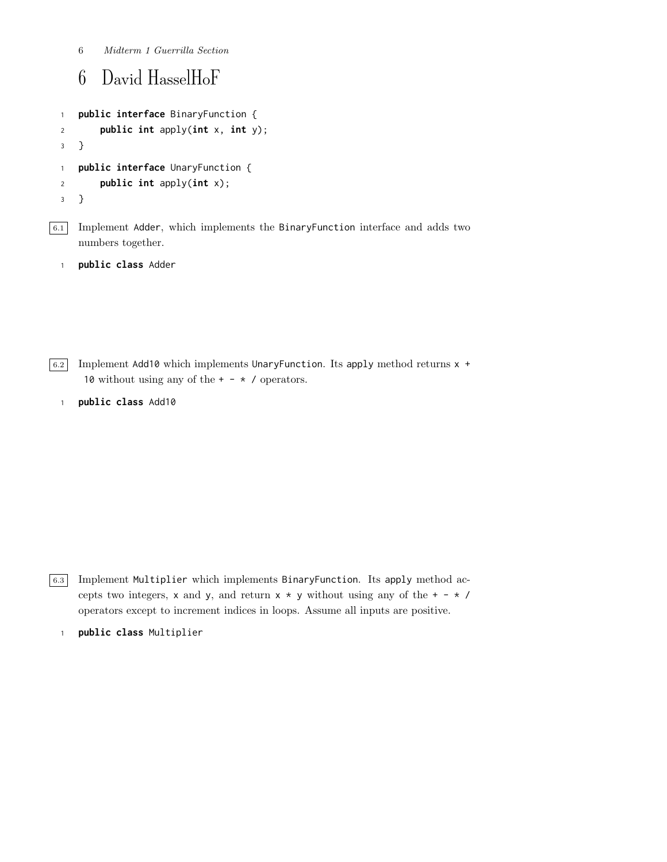Midterm 1 Guerrilla Section

### David HasselHoF

```
1 public interface BinaryFunction {
2 public int apply(int x, int y);
3 }
1 public interface UnaryFunction {
2 public int apply(int x);
3 }
```
 $\boxed{6.1}$  Implement Adder, which implements the BinaryFunction interface and adds two numbers together.

```
1 public class Adder
```
 $\boxed{6.2}$  Implement Add10 which implements UnaryFunction. Its apply method returns  $\times$  + 10 without using any of the  $+ - * /$  operators.

public class Add10

6.3 Implement Multiplier which implements BinaryFunction. Its apply method accepts two integers, x and y, and return  $x * y$  without using any of the  $+ - * /$ operators except to increment indices in loops. Assume all inputs are positive.

public class Multiplier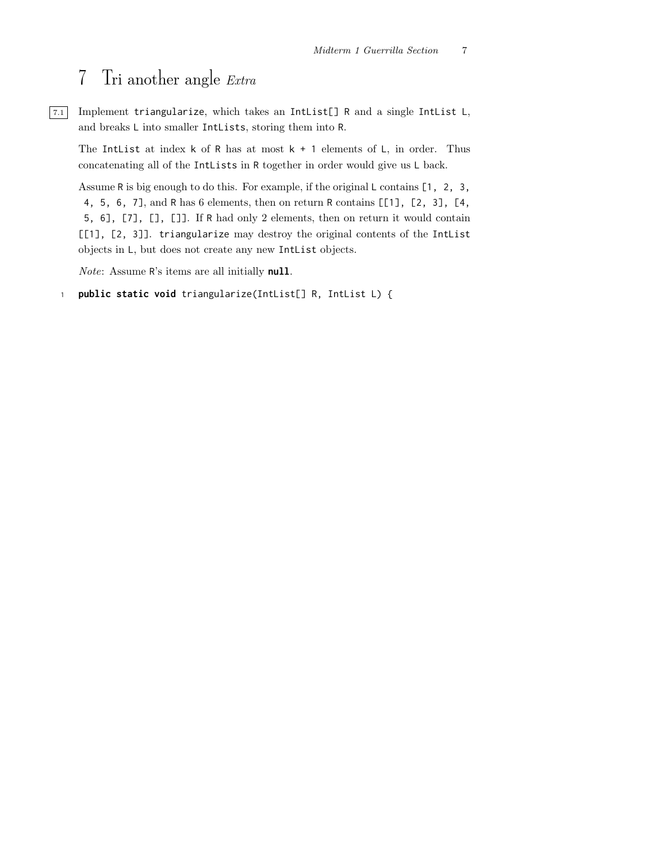### 7 Tri another angle Extra

 $\boxed{7.1}$  Implement triangularize, which takes an IntList<sup>[]</sup> R and a single IntList L, and breaks L into smaller IntLists, storing them into R.

The Intlist at index  $k$  of R has at most  $k + 1$  elements of L, in order. Thus concatenating all of the IntLists in R together in order would give us L back.

Assume R is big enough to do this. For example, if the original L contains [1, 2, 3, 4, 5, 6, 7], and R has 6 elements, then on return R contains [[1], [2, 3], [4, 5, 6], [7], [], []]. If R had only 2 elements, then on return it would contain [[1], [2, 3]]. triangularize may destroy the original contents of the IntList objects in L, but does not create any new IntList objects.

Note: Assume R's items are all initially null.

<sup>1</sup> public static void triangularize(IntList[] R, IntList L) {